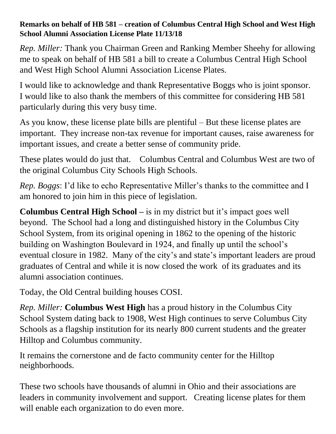## **Remarks on behalf of HB 581 – creation of Columbus Central High School and West High School Alumni Association License Plate 11/13/18**

*Rep. Miller:* Thank you Chairman Green and Ranking Member Sheehy for allowing me to speak on behalf of HB 581 a bill to create a Columbus Central High School and West High School Alumni Association License Plates.

I would like to acknowledge and thank Representative Boggs who is joint sponsor. I would like to also thank the members of this committee for considering HB 581 particularly during this very busy time.

As you know, these license plate bills are plentiful – But these license plates are important. They increase non-tax revenue for important causes, raise awareness for important issues, and create a better sense of community pride.

These plates would do just that. Columbus Central and Columbus West are two of the original Columbus City Schools High Schools.

*Rep. Boggs*: I'd like to echo Representative Miller's thanks to the committee and I am honored to join him in this piece of legislation.

**Columbus Central High School –** is in my district but it's impact goes well beyond. The School had a long and distinguished history in the Columbus City School System, from its original opening in 1862 to the opening of the historic building on Washington Boulevard in 1924, and finally up until the school's eventual closure in 1982. Many of the city's and state's important leaders are proud graduates of Central and while it is now closed the work of its graduates and its alumni association continues.

Today, the Old Central building houses COSI.

*Rep. Miller:* **Columbus West High** has a proud history in the Columbus City School System dating back to 1908, West High continues to serve Columbus City Schools as a flagship institution for its nearly 800 current students and the greater Hilltop and Columbus community.

It remains the cornerstone and de facto community center for the Hilltop neighborhoods.

These two schools have thousands of alumni in Ohio and their associations are leaders in community involvement and support. Creating license plates for them will enable each organization to do even more.